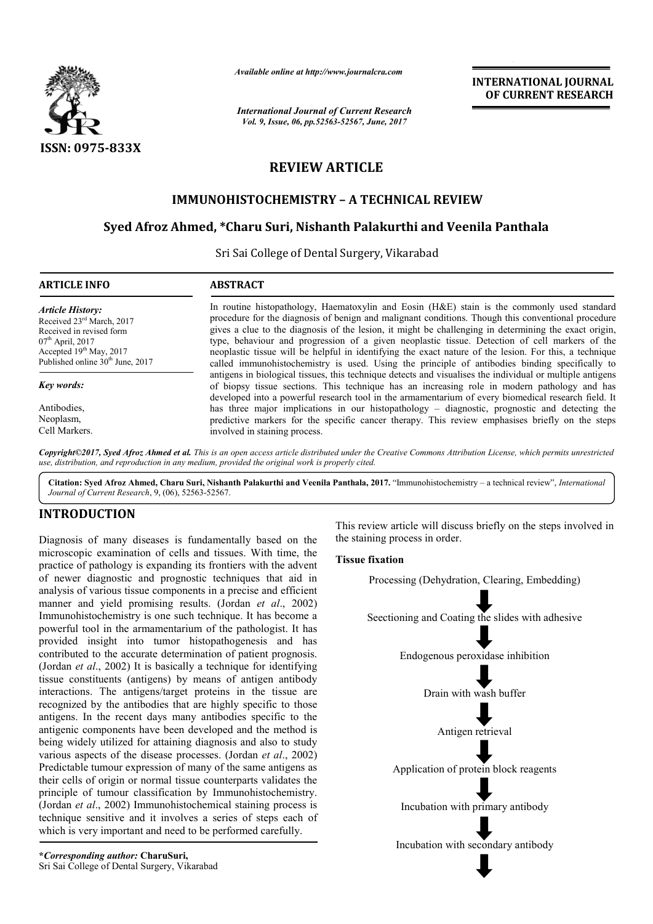

*Available online at http://www.journalcra.com*

*International Journal of Current Research Vol. 9, Issue, 06, pp.52563-52567, June, 2017*

**INTERNATIONAL JOURNAL OF CURRENT RESEARCH** 

# **REVIEW ARTICLE**

# **IMMUNOHISTOCHEMISTRY – A TECHNICAL REVIEW**

# **Syed Afroz Ahmed, \*Charu Suri, Nishanth Palakurthi and Veenila Panthala**

Sri Sai College of Dental Surgery, Vikarabad

| <b>ARTICLE INFO</b>                                                                                                                                                                 | <b>ABSTRACT</b>                                                                                                                                                                                                                                                                                                                                                                                                                                                                                                                                                                                                          |
|-------------------------------------------------------------------------------------------------------------------------------------------------------------------------------------|--------------------------------------------------------------------------------------------------------------------------------------------------------------------------------------------------------------------------------------------------------------------------------------------------------------------------------------------------------------------------------------------------------------------------------------------------------------------------------------------------------------------------------------------------------------------------------------------------------------------------|
| <b>Article History:</b><br>Received 23rd March, 2017<br>Received in revised form<br>$07th$ April, 2017<br>Accepted $19th$ May, 2017<br>Published online 30 <sup>th</sup> June, 2017 | In routine histopathology, Haematoxylin and Eosin (H&E) stain is the commonly used standard<br>procedure for the diagnosis of benign and malignant conditions. Though this conventional procedure<br>gives a clue to the diagnosis of the lesion, it might be challenging in determining the exact origin,<br>type, behaviour and progression of a given neoplastic tissue. Detection of cell markers of the<br>neoplastic tissue will be helpful in identifying the exact nature of the lesion. For this, a technique<br>called immunohistochemistry is used. Using the principle of antibodies binding specifically to |
| Key words:                                                                                                                                                                          | antigens in biological tissues, this technique detects and visualises the individual or multiple antigens<br>of biopsy tissue sections. This technique has an increasing role in modern pathology and has<br>developed into a powerful research tool in the armamentarium of every biomedical research field. It                                                                                                                                                                                                                                                                                                         |
| Antibodies.                                                                                                                                                                         | has three major implications in our histopathology – diagnostic, prognostic and detecting the                                                                                                                                                                                                                                                                                                                                                                                                                                                                                                                            |
| Neoplasm,<br>Cell Markers.                                                                                                                                                          | predictive markers for the specific cancer therapy. This review emphasises briefly on the steps<br>involved in staining process.                                                                                                                                                                                                                                                                                                                                                                                                                                                                                         |
|                                                                                                                                                                                     |                                                                                                                                                                                                                                                                                                                                                                                                                                                                                                                                                                                                                          |

*Copyright©2017, Syed Afroz Ahmed et al. This is an open access article distributed under the Creative Commons Attribution License, which permits unrestricted use, distribution, and reproduction in any medium, provided the original work is properly cited.*

**Citation: Syed Afroz Ahmed, Charu Suri, Nishanth Palakurthi and Veenila Panthala, 2017.** "Immunohistochemistry – a technical review", *International Journal of Current Research*, 9, (06), 52563-52567.

## **INTRODUCTION**

Diagnosis of many diseases is fundamentally based on the microscopic examination of cells and tissues. With time, the practice of pathology is expanding its frontiers with the advent of newer diagnostic and prognostic techniques that aid in analysis of various tissue components in a precise and efficient manner and yield promising results. (Jordan *et al*., 2002) Immunohistochemistry is one such technique. It has become a powerful tool in the armamentarium of the pathologist. It has provided insight into tumor histopathogenesis and has contributed to the accurate determination of patient prognosis. (Jordan *et al*., 2002) It is basically a technique for identifying tissue constituents (antigens) by means of antigen antibody interactions. The antigens/target proteins in the tissue are recognized by the antibodies that are highly specific to those antigens. In the recent days many antibodies specific to the antigenic components have been developed and the method is being widely utilized for attaining diagnosis and also to study various aspects of the disease processes. (Jordan *et al*., 2002) Predictable tumour expression of many of the same antigens as their cells of origin or normal tissue counterparts validates the principle of tumour classification by Immunohistochemistry. (Jordan *et al*., 2002) Immunohistochemical staining process is technique sensitive and it involves a series of steps each of which is very important and need to be performed carefully.

**\****Corresponding author:* **CharuSuri,** Sri Sai College of Dental Surgery, Vikarabad This review article will discuss briefly on the steps involved in the staining process in order.

**Tissue fixation**

Processing (Dehydration, Clearing, Embedding)

Seectioning and Coating the slides with adhesive

Endogenous peroxidase inhibition

Drain with wash buffer

Antigen retrieval

Application of protein block reagents

Incubation with primary antibody

Incubation with secondary antibody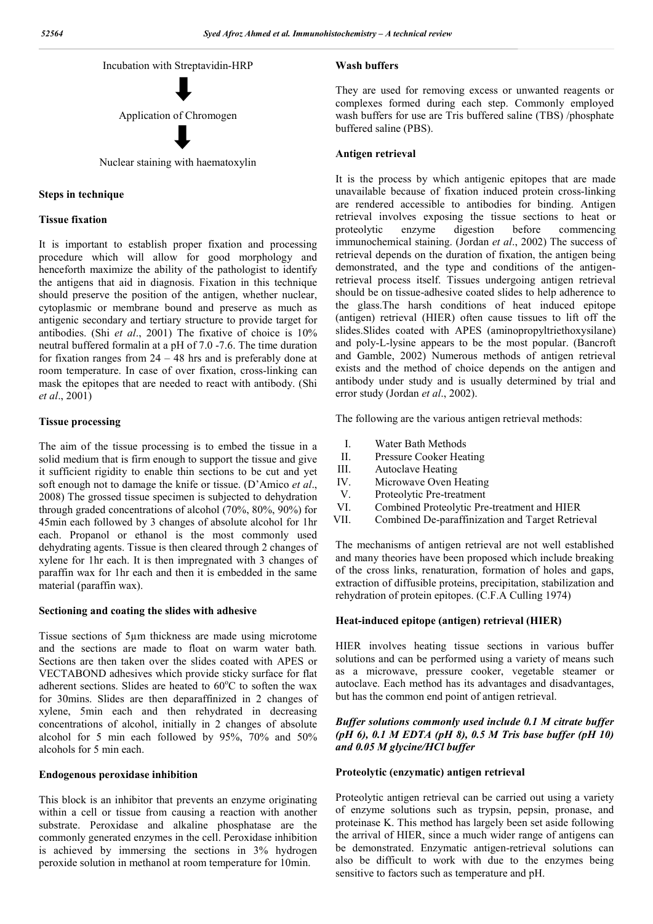

#### **Steps in technique**

#### **Tissue fixation**

It is important to establish proper fixation and processing procedure which will allow for good morphology and henceforth maximize the ability of the pathologist to identify the antigens that aid in diagnosis. Fixation in this technique should preserve the position of the antigen, whether nuclear, cytoplasmic or membrane bound and preserve as much as antigenic secondary and tertiary structure to provide target for antibodies. (Shi *et al*., 2001) The fixative of choice is 10% neutral buffered formalin at a pH of 7.0 -7.6. The time duration for fixation ranges from 24 – 48 hrs and is preferably done at room temperature. In case of over fixation, cross-linking can mask the epitopes that are needed to react with antibody. (Shi *et al*., 2001)

## **Tissue processing**

The aim of the tissue processing is to embed the tissue in a solid medium that is firm enough to support the tissue and give it sufficient rigidity to enable thin sections to be cut and yet soft enough not to damage the knife or tissue. (D'Amico *et al*., 2008) The grossed tissue specimen is subjected to dehydration through graded concentrations of alcohol (70%, 80%, 90%) for 45min each followed by 3 changes of absolute alcohol for 1hr each. Propanol or ethanol is the most commonly used dehydrating agents. Tissue is then cleared through 2 changes of xylene for 1hr each. It is then impregnated with 3 changes of paraffin wax for 1hr each and then it is embedded in the same material (paraffin wax).

### **Sectioning and coating the slides with adhesive**

Tissue sections of 5µm thickness are made using microtome and the sections are made to float on warm water bath*.*  Sections are then taken over the slides coated with APES or VECTABOND adhesives which provide sticky surface for flat adherent sections. Slides are heated to 60°C to soften the wax for 30mins. Slides are then deparaffinized in 2 changes of xylene, 5min each and then rehydrated in decreasing concentrations of alcohol, initially in 2 changes of absolute alcohol for 5 min each followed by 95%, 70% and 50% alcohols for 5 min each.

## **Endogenous peroxidase inhibition**

This block is an inhibitor that prevents an enzyme originating within a cell or tissue from causing a reaction with another substrate. Peroxidase and alkaline phosphatase are the commonly generated enzymes in the cell. Peroxidase inhibition is achieved by immersing the sections in 3% hydrogen peroxide solution in methanol at room temperature for 10min.

## **Wash buffers**

They are used for removing excess or unwanted reagents or complexes formed during each step. Commonly employed wash buffers for use are Tris buffered saline (TBS) /phosphate buffered saline (PBS).

#### **Antigen retrieval**

It is the process by which antigenic epitopes that are made unavailable because of fixation induced protein cross-linking are rendered accessible to antibodies for binding. Antigen retrieval involves exposing the tissue sections to heat or proteolytic enzyme digestion before commencing immunochemical staining. (Jordan *et al*., 2002) The success of retrieval depends on the duration of fixation, the antigen being demonstrated, and the type and conditions of the antigenretrieval process itself. Tissues undergoing antigen retrieval should be on tissue-adhesive coated slides to help adherence to the glass.The harsh conditions of heat induced epitope (antigen) retrieval (HIER) often cause tissues to lift off the slides.Slides coated with APES (aminopropyltriethoxysilane) and poly-L-lysine appears to be the most popular. (Bancroft and Gamble, 2002) Numerous methods of antigen retrieval exists and the method of choice depends on the antigen and antibody under study and is usually determined by trial and error study (Jordan *et al*., 2002).

The following are the various antigen retrieval methods:

- I. Water Bath Methods
- II. Pressure Cooker Heating
- III. Autoclave Heating
- IV. Microwave Oven Heating<br>V. Proteolytic Pre-treatment
- Proteolytic Pre-treatment
- VI. Combined Proteolytic Pre-treatment and HIER
- VII. Combined De-paraffinization and Target Retrieval

The mechanisms of antigen retrieval are not well established and many theories have been proposed which include breaking of the cross links, renaturation, formation of holes and gaps, extraction of diffusible proteins, precipitation, stabilization and rehydration of protein epitopes. (C.F.A Culling 1974)

#### **Heat-induced epitope (antigen) retrieval (HIER)**

HIER involves heating tissue sections in various buffer solutions and can be performed using a variety of means such as a microwave, pressure cooker, vegetable steamer or autoclave. Each method has its advantages and disadvantages, but has the common end point of antigen retrieval.

## *Buffer solutions commonly used include 0.1 M citrate buffer (pH 6), 0.1 M EDTA (pH 8), 0.5 M Tris base buffer (pH 10) and 0.05 M glycine/HCl buffer*

## **Proteolytic (enzymatic) antigen retrieval**

Proteolytic antigen retrieval can be carried out using a variety of enzyme solutions such as trypsin, pepsin, pronase, and proteinase K. This method has largely been set aside following the arrival of HIER, since a much wider range of antigens can be demonstrated. Enzymatic antigen-retrieval solutions can also be difficult to work with due to the enzymes being sensitive to factors such as temperature and pH.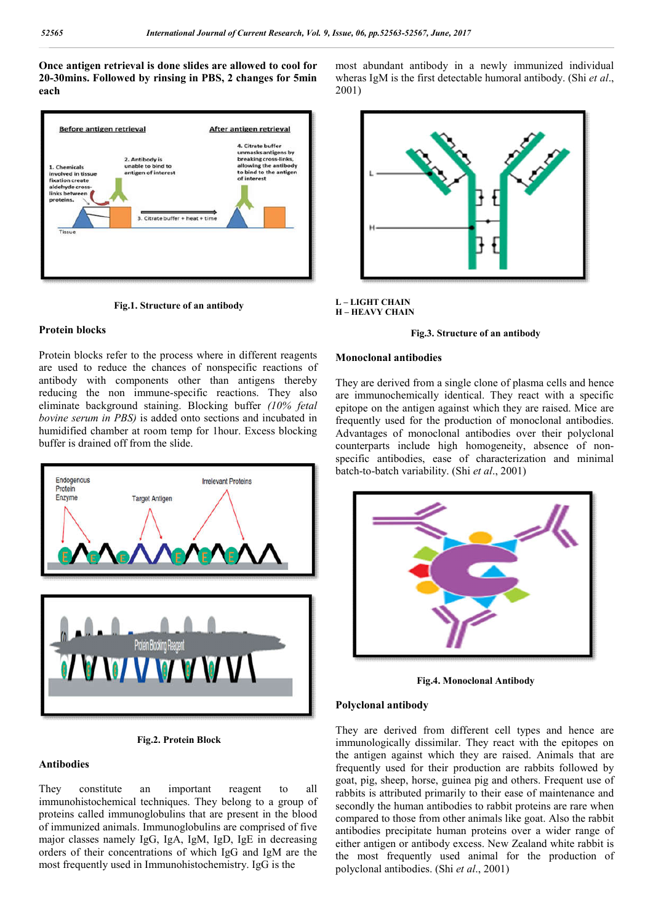**Once antigen retrieval is done slides are allowed to cool for 20-30mins. Followed by rinsing in PBS, 2 changes for 5min each**



**Fig.1. Structure of an antibody**

## **Protein blocks**

Protein blocks refer to the process where in different reagents are used to reduce the chances of nonspecific reactions of antibody with components other than antigens thereby reducing the non immune-specific reactions. They also eliminate background staining. Blocking buffer *(10% fetal bovine serum in PBS)* is added onto sections and incubated in humidified chamber at room temp for 1hour. Excess blocking buffer is drained off from the slide.



**Fig.2. Protein Block**

## **Antibodies**

They constitute an important reagent to all immunohistochemical techniques. They belong to a group of proteins called immunoglobulins that are present in the blood of immunized animals. Immunoglobulins are comprised of five major classes namely IgG, IgA, IgM, IgD, IgE in decreasing orders of their concentrations of which IgG and IgM are the most frequently used in Immunohistochemistry. IgG is the

most abundant antibody in a newly immunized individual wheras IgM is the first detectable humoral antibody. (Shi *et al*., 2001)



#### **L – LIGHT CHAIN H – HEAVY CHAIN**

#### **Fig.3. Structure of an antibody**

#### **Monoclonal antibodies**

They are derived from a single clone of plasma cells and hence are immunochemically identical. They react with a specific epitope on the antigen against which they are raised. Mice are frequently used for the production of monoclonal antibodies. Advantages of monoclonal antibodies over their polyclonal counterparts include high homogeneity, absence of nonspecific antibodies, ease of characterization and minimal batch-to-batch variability. (Shi *et al*., 2001)



**Fig.4. Monoclonal Antibody**

#### **Polyclonal antibody**

They are derived from different cell types and hence are immunologically dissimilar. They react with the epitopes on the antigen against which they are raised. Animals that are frequently used for their production are rabbits followed by goat, pig, sheep, horse, guinea pig and others. Frequent use of rabbits is attributed primarily to their ease of maintenance and secondly the human antibodies to rabbit proteins are rare when compared to those from other animals like goat. Also the rabbit antibodies precipitate human proteins over a wider range of either antigen or antibody excess. New Zealand white rabbit is the most frequently used animal for the production of polyclonal antibodies. (Shi *et al*., 2001)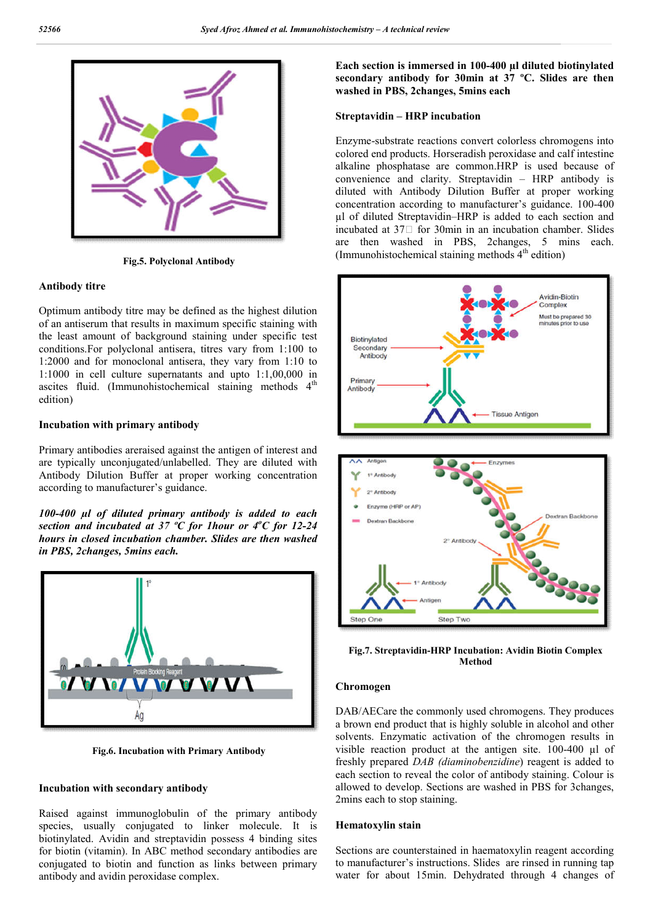

**Fig.5. Polyclonal Antibody**

### **Antibody titre**

Optimum antibody titre may be defined as the highest dilution of an antiserum that results in maximum specific staining with the least amount of background staining under specific test conditions.For polyclonal antisera, titres vary from 1:100 to 1:2000 and for monoclonal antisera, they vary from 1:10 to 1:1000 in cell culture supernatants and upto 1:1,00,000 in ascites fluid. (Immunohistochemical staining methods  $4<sup>th</sup>$ edition)

## **Incubation with primary antibody**

Primary antibodies areraised against the antigen of interest and are typically unconjugated/unlabelled. They are diluted with Antibody Dilution Buffer at proper working concentration according to manufacturer's guidance.

*100-400 µl of diluted primary antibody is added to each section and incubated at 37 ºC for 1hour or 4<sup>o</sup> C for 12-24 hours in closed incubation chamber. Slides are then washed in PBS, 2changes, 5mins each.*



**Fig.6. Incubation with Primary Antibody**

## **Incubation with secondary antibody**

Raised against immunoglobulin of the primary antibody species, usually conjugated to linker molecule. It is biotinylated. Avidin and streptavidin possess 4 binding sites for biotin (vitamin). In ABC method secondary antibodies are conjugated to biotin and function as links between primary antibody and avidin peroxidase complex.

**Each section is immersed in 100-400 µl diluted biotinylated secondary antibody for 30min at 37 ºC. Slides are then washed in PBS, 2changes, 5mins each**

#### **Streptavidin – HRP incubation**

Enzyme-substrate reactions convert colorless chromogens into colored end products. Horseradish peroxidase and calf intestine alkaline phosphatase are common.HRP is used because of convenience and clarity. Streptavidin – HRP antibody is diluted with Antibody Dilution Buffer at proper working concentration according to manufacturer's guidance. 100-400 µl of diluted Streptavidin–HRP is added to each section and incubated at  $37\Box$  for 30min in an incubation chamber. Slides are then washed in PBS, 2changes, 5 mins each. (Immunohistochemical staining methods  $4<sup>th</sup>$  edition)





**Fig.7. Streptavidin-HRP Incubation: Avidin Biotin Complex Method**

#### **Chromogen**

DAB/AECare the commonly used chromogens. They produces a brown end product that is highly soluble in alcohol and other solvents. Enzymatic activation of the chromogen results in visible reaction product at the antigen site. 100-400 µl of freshly prepared *DAB (diaminobenzidine*) reagent is added to each section to reveal the color of antibody staining. Colour is allowed to develop. Sections are washed in PBS for 3changes, 2mins each to stop staining.

#### **Hematoxylin stain**

Sections are counterstained in haematoxylin reagent according to manufacturer's instructions. Slides are rinsed in running tap water for about 15min. Dehydrated through 4 changes of